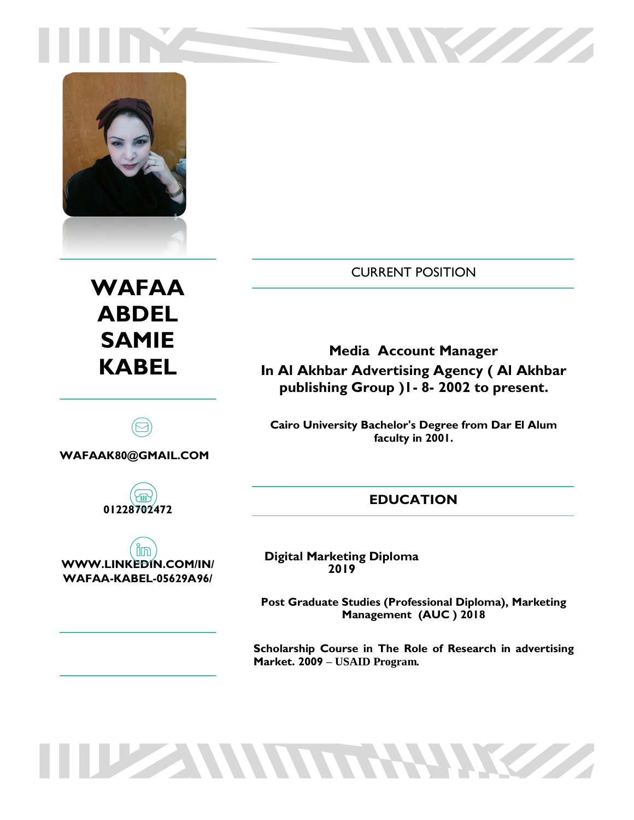



# **WAFAA ABDEL SAMIE KABEL**

**WAFAAK80@GMAIL.COM**



in **WWW.LINKEDIN.COM/IN/ WAFAA-KABEL-05629A96/**

CURRENT POSITION

W State State

**Media Account Manager In Al Akhbar Advertising Agency ( Al Akhbar publishing Group )1- 8- 2002 to present.**

**Cairo University Bachelor's Degree from Dar El Alum faculty in 2001.**

# **EDUCATION**

**Digital Marketing Diploma 2019** 

**THE MUNITHERNE** 

**Post Graduate Studies (Professional Diploma), Marketing Management (AUC ) 2018**

**Scholarship Course in The Role of Research in advertising Market. 2009 – USAID Program.**